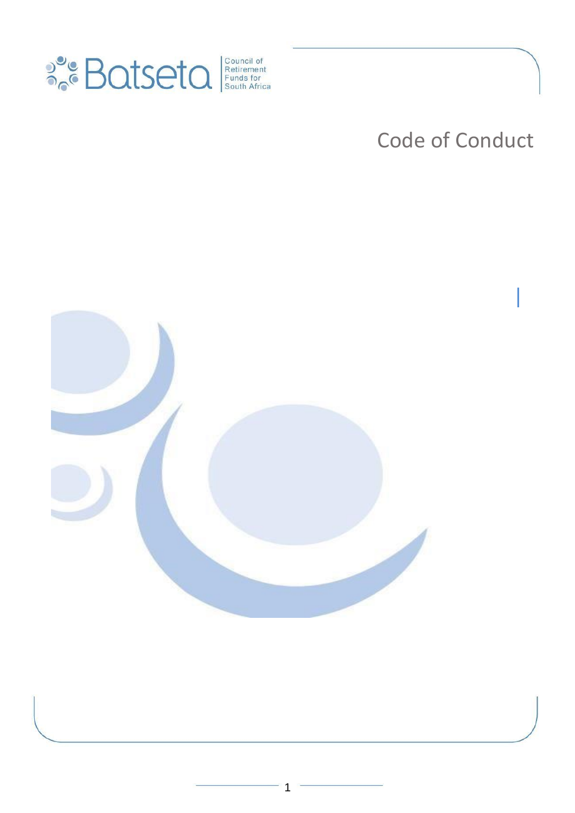

# Code of Conduct

|

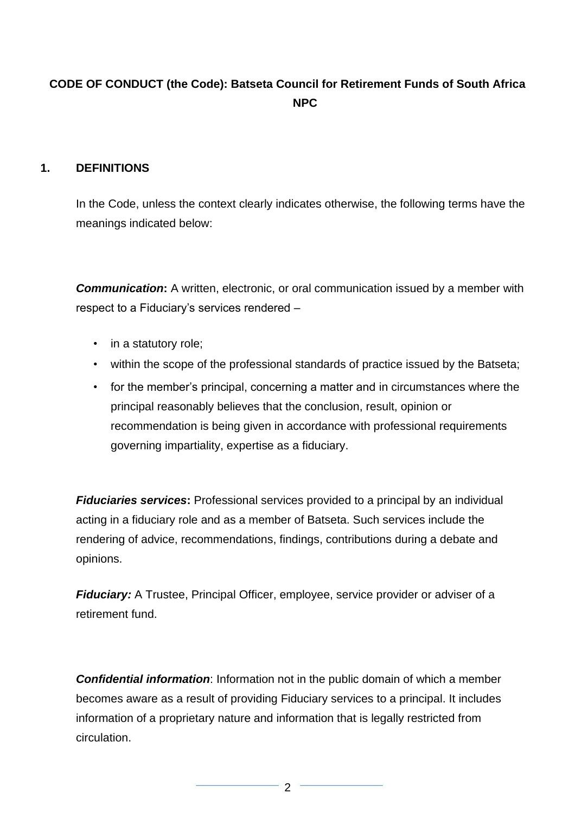# **CODE OF CONDUCT (the Code): Batseta Council for Retirement Funds of South Africa NPC**

#### **1. DEFINITIONS**

In the Code, unless the context clearly indicates otherwise, the following terms have the meanings indicated below:

**Communication:** A written, electronic, or oral communication issued by a member with respect to a Fiduciary's services rendered –

- in a statutory role;
- within the scope of the professional standards of practice issued by the Batseta;
- for the member's principal, concerning a matter and in circumstances where the principal reasonably believes that the conclusion, result, opinion or recommendation is being given in accordance with professional requirements governing impartiality, expertise as a fiduciary.

*Fiduciaries services:* Professional services provided to a principal by an individual acting in a fiduciary role and as a member of Batseta. Such services include the rendering of advice, recommendations, findings, contributions during a debate and opinions.

*Fiduciary:* A Trustee, Principal Officer, employee, service provider or adviser of a retirement fund.

*Confidential information*: Information not in the public domain of which a member becomes aware as a result of providing Fiduciary services to a principal. It includes information of a proprietary nature and information that is legally restricted from circulation.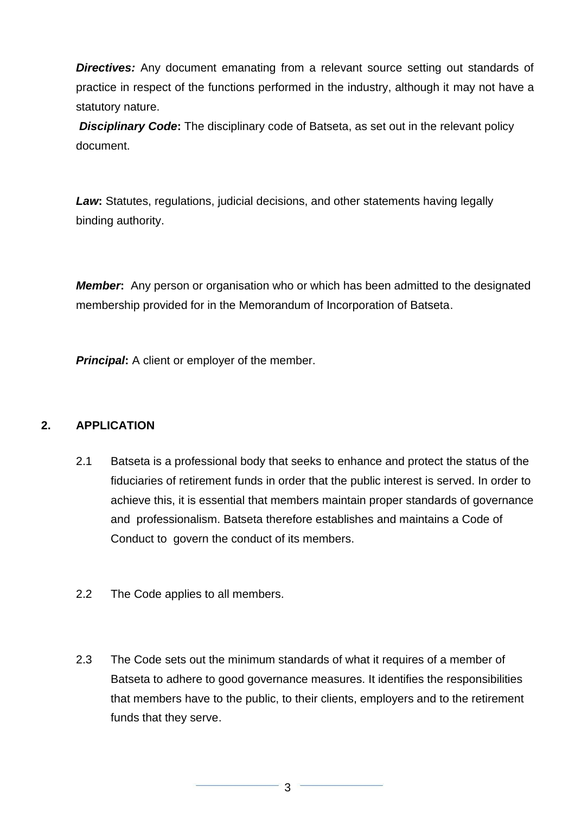**Directives:** Any document emanating from a relevant source setting out standards of practice in respect of the functions performed in the industry, although it may not have a statutory nature.

*Disciplinary Code***:** The disciplinary code of Batseta, as set out in the relevant policy document.

*Law***:** Statutes, regulations, judicial decisions, and other statements having legally binding authority.

*Member***:** Any person or organisation who or which has been admitted to the designated membership provided for in the Memorandum of Incorporation of Batseta.

*Principal:* A client or employer of the member.

#### **2. APPLICATION**

- 2.1 Batseta is a professional body that seeks to enhance and protect the status of the fiduciaries of retirement funds in order that the public interest is served. In order to achieve this, it is essential that members maintain proper standards of governance and professionalism. Batseta therefore establishes and maintains a Code of Conduct to govern the conduct of its members.
- 2.2 The Code applies to all members.
- 2.3 The Code sets out the minimum standards of what it requires of a member of Batseta to adhere to good governance measures. It identifies the responsibilities that members have to the public, to their clients, employers and to the retirement funds that they serve.

3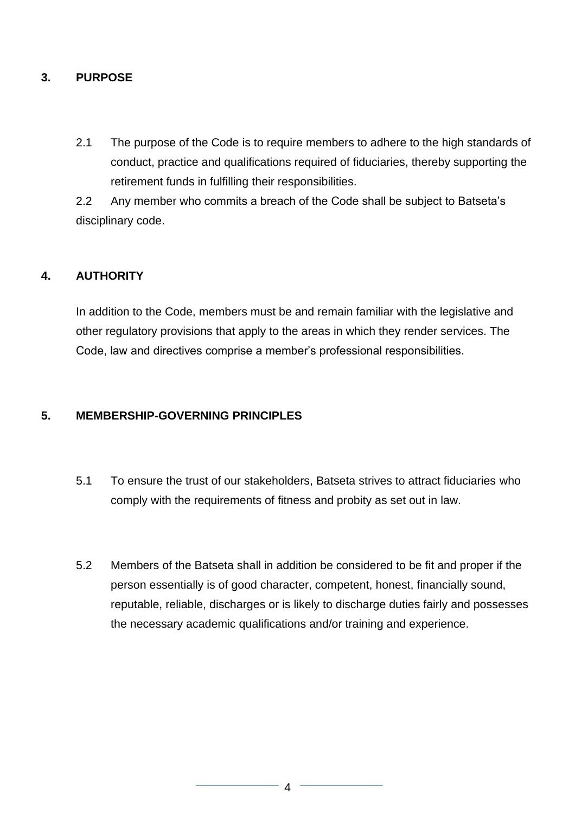#### **3. PURPOSE**

2.1 The purpose of the Code is to require members to adhere to the high standards of conduct, practice and qualifications required of fiduciaries, thereby supporting the retirement funds in fulfilling their responsibilities.

2.2 Any member who commits a breach of the Code shall be subject to Batseta's disciplinary code.

#### **4. AUTHORITY**

In addition to the Code, members must be and remain familiar with the legislative and other regulatory provisions that apply to the areas in which they render services. The Code, law and directives comprise a member's professional responsibilities.

#### **5. MEMBERSHIP-GOVERNING PRINCIPLES**

- 5.1 To ensure the trust of our stakeholders, Batseta strives to attract fiduciaries who comply with the requirements of fitness and probity as set out in law.
- 5.2 Members of the Batseta shall in addition be considered to be fit and proper if the person essentially is of good character, competent, honest, financially sound, reputable, reliable, discharges or is likely to discharge duties fairly and possesses the necessary academic qualifications and/or training and experience.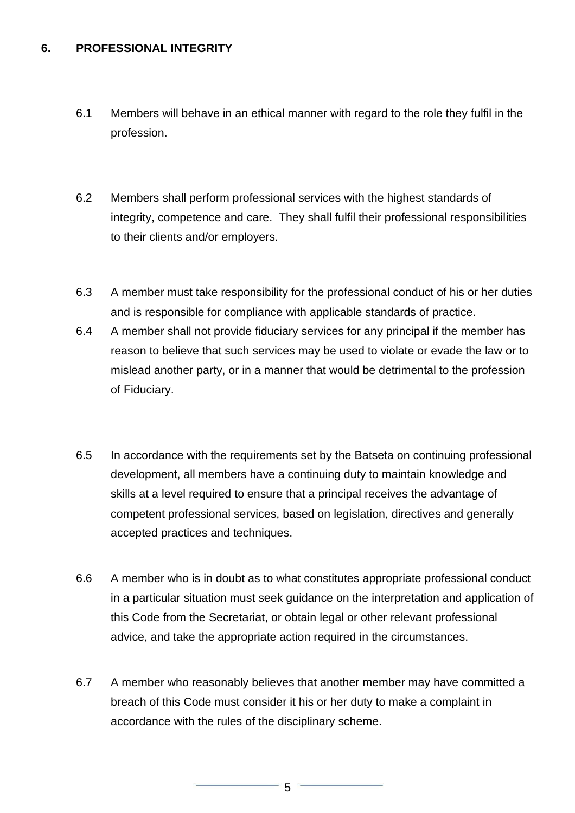#### **6. PROFESSIONAL INTEGRITY**

- 6.1 Members will behave in an ethical manner with regard to the role they fulfil in the profession.
- 6.2 Members shall perform professional services with the highest standards of integrity, competence and care. They shall fulfil their professional responsibilities to their clients and/or employers.
- 6.3 A member must take responsibility for the professional conduct of his or her duties and is responsible for compliance with applicable standards of practice.
- 6.4 A member shall not provide fiduciary services for any principal if the member has reason to believe that such services may be used to violate or evade the law or to mislead another party, or in a manner that would be detrimental to the profession of Fiduciary.
- 6.5 In accordance with the requirements set by the Batseta on continuing professional development, all members have a continuing duty to maintain knowledge and skills at a level required to ensure that a principal receives the advantage of competent professional services, based on legislation, directives and generally accepted practices and techniques.
- 6.6 A member who is in doubt as to what constitutes appropriate professional conduct in a particular situation must seek guidance on the interpretation and application of this Code from the Secretariat, or obtain legal or other relevant professional advice, and take the appropriate action required in the circumstances.
- 6.7 A member who reasonably believes that another member may have committed a breach of this Code must consider it his or her duty to make a complaint in accordance with the rules of the disciplinary scheme.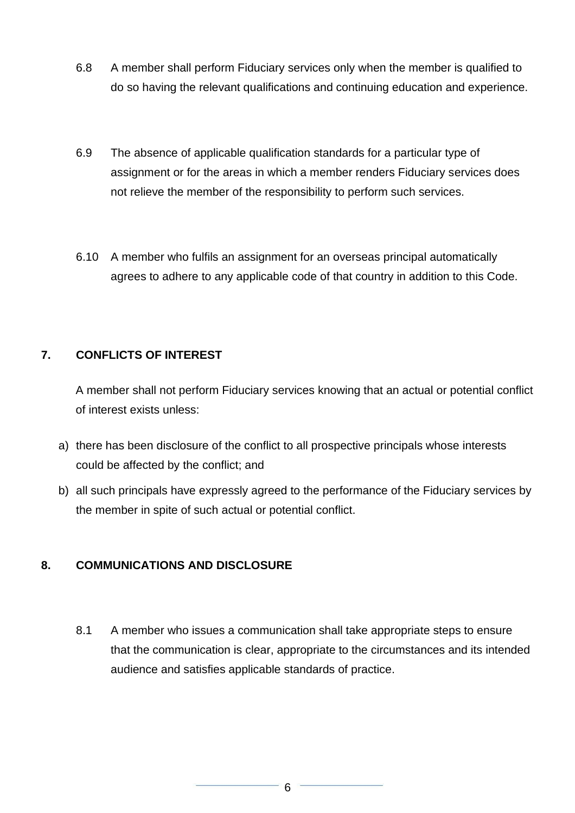- 6.8 A member shall perform Fiduciary services only when the member is qualified to do so having the relevant qualifications and continuing education and experience.
- 6.9 The absence of applicable qualification standards for a particular type of assignment or for the areas in which a member renders Fiduciary services does not relieve the member of the responsibility to perform such services.
- 6.10 A member who fulfils an assignment for an overseas principal automatically agrees to adhere to any applicable code of that country in addition to this Code.

#### **7. CONFLICTS OF INTEREST**

A member shall not perform Fiduciary services knowing that an actual or potential conflict of interest exists unless:

- a) there has been disclosure of the conflict to all prospective principals whose interests could be affected by the conflict; and
- b) all such principals have expressly agreed to the performance of the Fiduciary services by the member in spite of such actual or potential conflict.

## **8. COMMUNICATIONS AND DISCLOSURE**

8.1 A member who issues a communication shall take appropriate steps to ensure that the communication is clear, appropriate to the circumstances and its intended audience and satisfies applicable standards of practice.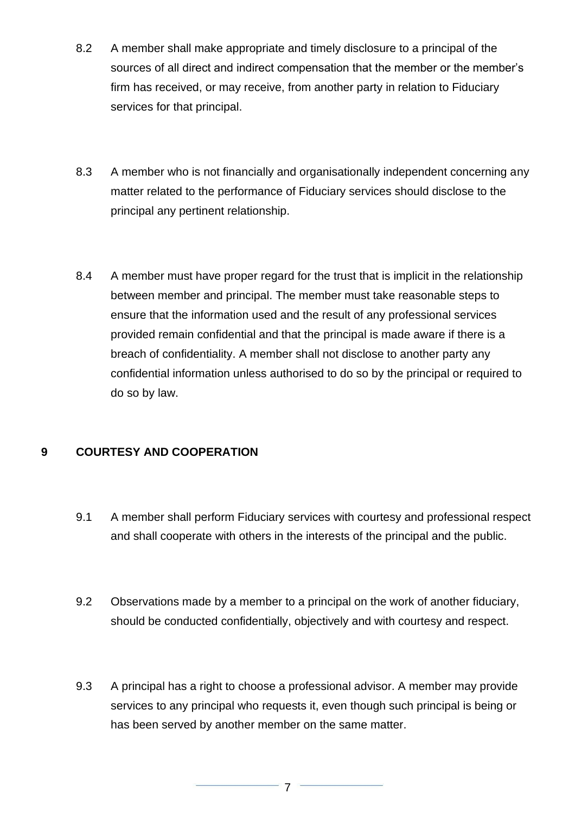- 8.2 A member shall make appropriate and timely disclosure to a principal of the sources of all direct and indirect compensation that the member or the member's firm has received, or may receive, from another party in relation to Fiduciary services for that principal.
- 8.3 A member who is not financially and organisationally independent concerning any matter related to the performance of Fiduciary services should disclose to the principal any pertinent relationship.
- 8.4 A member must have proper regard for the trust that is implicit in the relationship between member and principal. The member must take reasonable steps to ensure that the information used and the result of any professional services provided remain confidential and that the principal is made aware if there is a breach of confidentiality. A member shall not disclose to another party any confidential information unless authorised to do so by the principal or required to do so by law.

## **9 COURTESY AND COOPERATION**

- 9.1 A member shall perform Fiduciary services with courtesy and professional respect and shall cooperate with others in the interests of the principal and the public.
- 9.2 Observations made by a member to a principal on the work of another fiduciary, should be conducted confidentially, objectively and with courtesy and respect.
- 9.3 A principal has a right to choose a professional advisor. A member may provide services to any principal who requests it, even though such principal is being or has been served by another member on the same matter.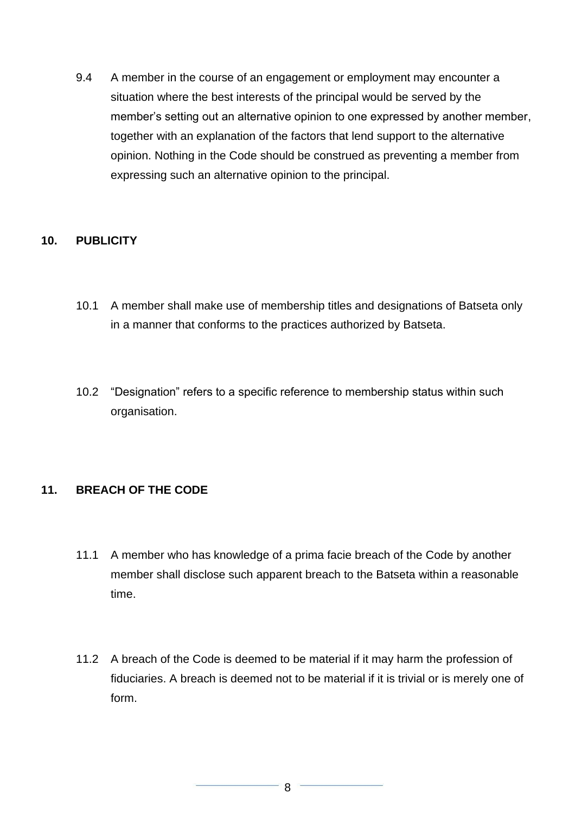9.4 A member in the course of an engagement or employment may encounter a situation where the best interests of the principal would be served by the member's setting out an alternative opinion to one expressed by another member, together with an explanation of the factors that lend support to the alternative opinion. Nothing in the Code should be construed as preventing a member from expressing such an alternative opinion to the principal.

#### **10. PUBLICITY**

- 10.1 A member shall make use of membership titles and designations of Batseta only in a manner that conforms to the practices authorized by Batseta.
- 10.2 "Designation" refers to a specific reference to membership status within such organisation.

#### **11. BREACH OF THE CODE**

- 11.1 A member who has knowledge of a prima facie breach of the Code by another member shall disclose such apparent breach to the Batseta within a reasonable time.
- 11.2 A breach of the Code is deemed to be material if it may harm the profession of fiduciaries. A breach is deemed not to be material if it is trivial or is merely one of form.